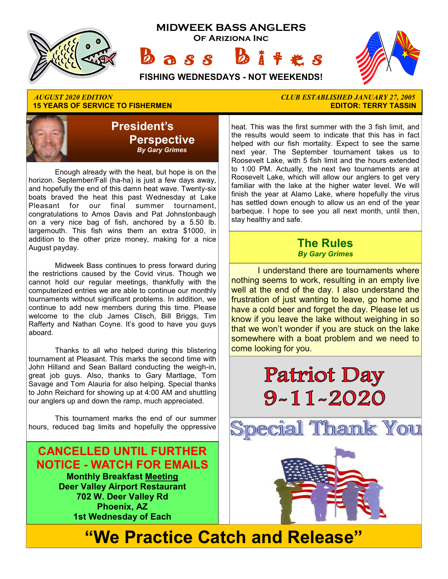

**"We Practice Catch and Release"** 

## **15 YEARS OF SERVICE TO FISHERMEN**



 Enough already with the heat, but hope is on the horizon. September/Fall (ha-ha) is just a few days away, and hopefully the end of this damn heat wave. Twenty-six boats braved the heat this past Wednesday at Lake<br>Pleasant for our final summer tournament, summer tournament, congratulations to Amos Davis and Pat Johnstonbaugh on a very nice bag of fish, anchored by a 5.50 lb. largemouth. This fish wins them an extra \$1000, in addition to the other prize money, making for a nice August payday.

 Midweek Bass continues to press forward during the restrictions caused by the Covid virus. Though we cannot hold our regular meetings, thankfully with the computerized entries we are able to continue our monthly tournaments without significant problems. In addition, we continue to add new members during this time. Please welcome to the club James Clisch, Bill Briggs, Tim Rafferty and Nathan Coyne. It's good to have you guys aboard.

 Thanks to all who helped during this blistering tournament at Pleasant. This marks the second time with John Hilland and Sean Ballard conducting the weigh-in, great job guys. Also, thanks to Gary Martlage, Tom Savage and Tom Alauria for also helping. Special thanks to John Reichard for showing up at 4:00 AM and shuttling our anglers up and down the ramp, much appreciated.

 This tournament marks the end of our summer hours, reduced bag limits and hopefully the oppressive

**CANCELLED UNTIL FURTHER NOTICE - WATCH FOR EMAILS Monthly Breakfast Meeting Deer Valley Airport Restaurant 702 W. Deer Valley Rd Phoenix, AZ 1st Wednesday of Each** 

# *AUGUST 2020 EDITION CLUB ESTABLISHED JANUARY 27, 2005*

heat. This was the first summer with the 3 fish limit, and the results would seem to indicate that this has in fact helped with our fish mortality. Expect to see the same next year. The September tournament takes us to Roosevelt Lake, with 5 fish limit and the hours extended to 1:00 PM. Actually, the next two tournaments are at Roosevelt Lake, which will allow our anglers to get very familiar with the lake at the higher water level. We will finish the year at Alamo Lake, where hopefully the virus has settled down enough to allow us an end of the year barbeque. I hope to see you all next month, until then, stay healthy and safe.

#### **The Rules**  *By Gary Grimes*

 I understand there are tournaments where nothing seems to work, resulting in an empty live well at the end of the day. I also understand the frustration of just wanting to leave, go home and have a cold beer and forget the day. Please let us know if you leave the lake without weighing in so that we won't wonder if you are stuck on the lake somewhere with a boat problem and we need to come looking for you.

**Patriot Day** 

 $9 - 11 - 2020$ 

**Special Thank You**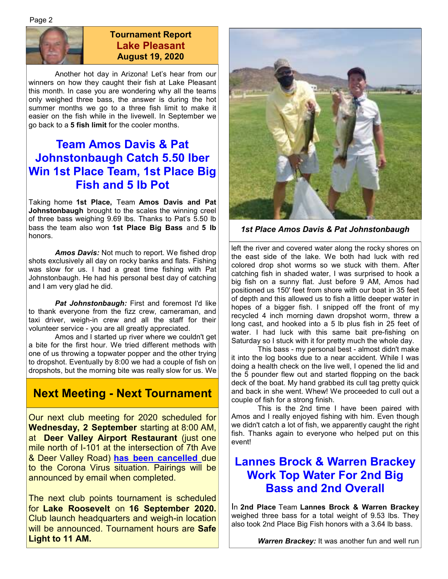Page 2



### **Tournament Report Lake Pleasant August 19, 2020**

 Another hot day in Arizona! Let's hear from our winners on how they caught their fish at Lake Pleasant this month. In case you are wondering why all the teams only weighed three bass, the answer is during the hot summer months we go to a three fish limit to make it easier on the fish while in the livewell. In September we go back to a **5 fish limit** for the cooler months.

### **Team Amos Davis & Pat Johnstonbaugh Catch 5.50 lber Win 1st Place Team, 1st Place Big Fish and 5 lb Pot**

Taking home **1st Place,** Team **Amos Davis and Pat Johnstonbaugh** brought to the scales the winning creel of three bass weighing 9.69 lbs. Thanks to Pat's 5.50 lb bass the team also won **1st Place Big Bass** and **5 lb**  honors.

*Amos Davis:* Not much to report. We fished drop shots exclusively all day on rocky banks and flats. Fishing was slow for us. I had a great time fishing with Pat Johnstonbaugh. He had his personal best day of catching and I am very glad he did.

 *Pat Johnstonbaugh:* First and foremost I'd like to thank everyone from the fizz crew, cameraman, and taxi driver, weigh-in crew and all the staff for their volunteer service - you are all greatly appreciated.

 Amos and I started up river where we couldn't get a bite for the first hour. We tried different methods with one of us throwing a topwater popper and the other trying to dropshot. Eventually by 8:00 we had a couple of fish on dropshots, but the morning bite was really slow for us. We

### **Next Meeting - Next Tournament**

Our next club meeting for 2020 scheduled for **Wednesday, 2 September** starting at 8:00 AM, at **Deer Valley Airport Restaurant** (just one mile north of I-101 at the intersection of 7th Ave & Deer Valley Road) **has been cancelled** due to the Corona Virus situation. Pairings will be announced by email when completed.

The next club points tournament is scheduled for **Lake Roosevelt** on **16 September 2020.**  Club launch headquarters and weigh-in location will be announced. Tournament hours are **Safe Light to 11 AM.** 



*1st Place Amos Davis & Pat Johnstonbaugh* 

left the river and covered water along the rocky shores on the east side of the lake. We both had luck with red colored drop shot worms so we stuck with them. After catching fish in shaded water, I was surprised to hook a big fish on a sunny flat. Just before 9 AM, Amos had positioned us 150' feet from shore with our boat in 35 feet of depth and this allowed us to fish a little deeper water in hopes of a bigger fish. I snipped off the front of my recycled 4 inch morning dawn dropshot worm, threw a long cast, and hooked into a 5 lb plus fish in 25 feet of water. I had luck with this same bait pre-fishing on Saturday so I stuck with it for pretty much the whole day.

 This bass - my personal best - almost didn't make it into the log books due to a near accident. While I was doing a health check on the live well, I opened the lid and the 5 pounder flew out and started flopping on the back deck of the boat. My hand grabbed its cull tag pretty quick and back in she went. Whew! We proceeded to cull out a couple of fish for a strong finish.

 This is the 2nd time I have been paired with Amos and I really enjoyed fishing with him. Even though we didn't catch a lot of fish, we apparently caught the right fish. Thanks again to everyone who helped put on this event!

### **Lannes Brock & Warren Brackey Work Top Water For 2nd Big Bass and 2nd Overall**

In **2nd Place** Team **Lannes Brock & Warren Brackey**  weighed three bass for a total weight of 9.53 lbs. They also took 2nd Place Big Fish honors with a 3.64 lb bass.

 *Warren Brackey:* It was another fun and well run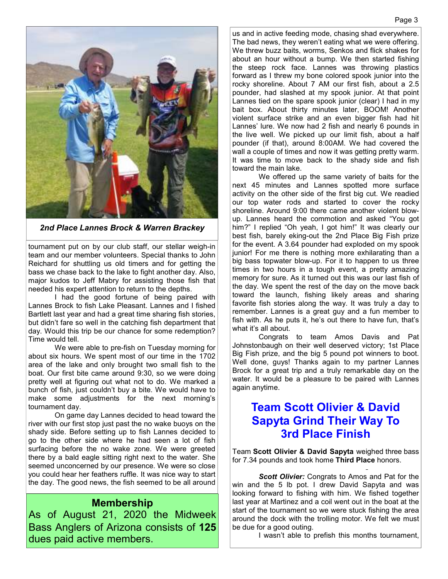

*2nd Place Lannes Brock & Warren Brackey*

tournament put on by our club staff, our stellar weigh-in team and our member volunteers. Special thanks to John Reichard for shuttling us old timers and for getting the bass we chase back to the lake to fight another day. Also, major kudos to Jeff Mabry for assisting those fish that needed his expert attention to return to the depths.

 I had the good fortune of being paired with Lannes Brock to fish Lake Pleasant. Lannes and I fished Bartlett last year and had a great time sharing fish stories, but didn't fare so well in the catching fish department that day. Would this trip be our chance for some redemption? Time would tell.

 We were able to pre-fish on Tuesday morning for about six hours. We spent most of our time in the 1702 area of the lake and only brought two small fish to the boat. Our first bite came around 9:30, so we were doing pretty well at figuring out what not to do. We marked a bunch of fish, just couldn't buy a bite. We would have to make some adjustments for the next morning's tournament day.

 On game day Lannes decided to head toward the river with our first stop just past the no wake buoys on the shady side. Before setting up to fish Lannes decided to go to the other side where he had seen a lot of fish surfacing before the no wake zone. We were greeted there by a bald eagle sitting right next to the water. She seemed unconcerned by our presence. We were so close you could hear her feathers ruffle. It was nice way to start the day. The good news, the fish seemed to be all around

#### **Membership**

As of August 21, 2020 the Midweek Bass Anglers of Arizona consists of **125**  dues paid active members.

us and in active feeding mode, chasing shad everywhere. The bad news, they weren't eating what we were offering. We threw buzz baits, worms, Senkos and flick shakes for about an hour without a bump. We then started fishing the steep rock face. Lannes was throwing plastics forward as I threw my bone colored spook junior into the rocky shoreline. About 7 AM our first fish, about a 2.5 pounder, had slashed at my spook junior. At that point Lannes tied on the spare spook junior (clear) I had in my bait box. About thirty minutes later, BOOM! Another violent surface strike and an even bigger fish had hit Lannes' lure. We now had 2 fish and nearly 6 pounds in the live well. We picked up our limit fish, about a half pounder (if that), around 8:00AM. We had covered the wall a couple of times and now it was getting pretty warm. It was time to move back to the shady side and fish toward the main lake.

 We offered up the same variety of baits for the next 45 minutes and Lannes spotted more surface activity on the other side of the first big cut. We readied our top water rods and started to cover the rocky shoreline. Around 9:00 there came another violent blowup. Lannes heard the commotion and asked "You got him?" I replied "Oh yeah, I got him!" It was clearly our best fish, barely eking-out the 2nd Place Big Fish prize for the event. A 3.64 pounder had exploded on my spook junior! For me there is nothing more exhilarating than a big bass topwater blow-up. For it to happen to us three times in two hours in a tough event, a pretty amazing memory for sure. As it turned out this was our last fish of the day. We spent the rest of the day on the move back toward the launch, fishing likely areas and sharing favorite fish stories along the way. It was truly a day to remember. Lannes is a great guy and a fun member to fish with. As he puts it, he's out there to have fun, that's what it's all about.

 Congrats to team Amos Davis and Pat Johnstonbaugh on their well deserved victory; 1st Place Big Fish prize, and the big 5 pound pot winners to boot. Well done, guys! Thanks again to my partner Lannes Brock for a great trip and a truly remarkable day on the water. It would be a pleasure to be paired with Lannes again anytime.

### **Team Scott Olivier & David Sapyta Grind Their Way To 3rd Place Finish**

Team **Scott Olivier & David Sapyta** weighed three bass for 7.34 pounds and took home **Third Place** honors.

*Scott Olivier:* Congrats to Amos and Pat for the win and the 5 lb pot. I drew David Sapyta and was looking forward to fishing with him. We fished together last year at Martinez and a coil went out in the boat at the start of the tournament so we were stuck fishing the area around the dock with the trolling motor. We felt we must be due for a good outing.

I wasn't able to prefish this months tournament,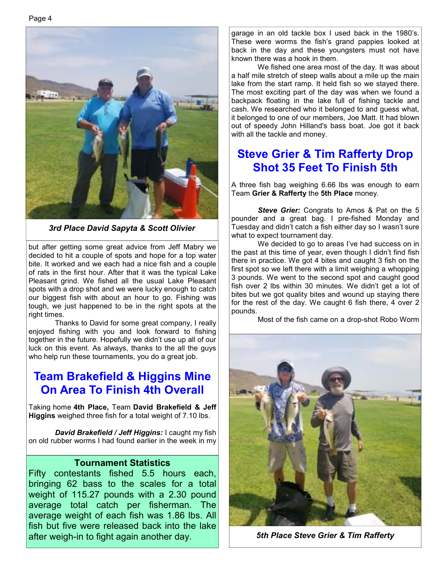

*3rd Place David Sapyta & Scott Olivier*

but after getting some great advice from Jeff Mabry we decided to hit a couple of spots and hope for a top water bite. It worked and we each had a nice fish and a couple of rats in the first hour. After that it was the typical Lake Pleasant grind. We fished all the usual Lake Pleasant spots with a drop shot and we were lucky enough to catch our biggest fish with about an hour to go. Fishing was tough, we just happened to be in the right spots at the right times.

 Thanks to David for some great company, I really enjoyed fishing with you and look forward to fishing together in the future. Hopefully we didn't use up all of our luck on this event. As always, thanks to the all the guys who help run these tournaments, you do a great job.

### **Team Brakefield & Higgins Mine On Area To Finish 4th Overall**

Taking home **4th Place,** Team **David Brakefield & Jeff Higgins** weighed three fish for a total weight of 7.10 lbs.

*David Brakefield / Jeff Higgins:* I caught my fish on old rubber worms I had found earlier in the week in my

#### **Tournament Statistics**

Fifty contestants fished 5.5 hours each, bringing 62 bass to the scales for a total weight of 115.27 pounds with a 2.30 pound average total catch per fisherman. The average weight of each fish was 1.86 lbs. All fish but five were released back into the lake after weigh-in to fight again another day.

garage in an old tackle box I used back in the 1980's. These were worms the fish's grand pappies looked at back in the day and these youngsters must not have known there was a hook in them.

 We fished one area most of the day. It was about a half mile stretch of steep walls about a mile up the main lake from the start ramp. It held fish so we stayed there. The most exciting part of the day was when we found a backpack floating in the lake full of fishing tackle and cash. We researched who it belonged to and guess what, it belonged to one of our members, Joe Matt. It had blown out of speedy John Hilland's bass boat. Joe got it back with all the tackle and money.

### **Steve Grier & Tim Rafferty Drop Shot 35 Feet To Finish 5th**

A three fish bag weighing 6.66 lbs was enough to earn Team **Grier & Rafferty** the **5th Place** money.

**Steve Grier:** Congrats to Amos & Pat on the 5 pounder and a great bag. I pre-fished Monday and Tuesday and didn't catch a fish either day so I wasn't sure what to expect tournament day.

 We decided to go to areas I've had success on in the past at this time of year, even though I didn't find fish there in practice. We got 4 bites and caught 3 fish on the first spot so we left there with a limit weighing a whopping 3 pounds. We went to the second spot and caught good fish over 2 lbs within 30 minutes. We didn't get a lot of bites but we got quality bites and wound up staying there for the rest of the day. We caught 6 fish there, 4 over 2 pounds.

Most of the fish came on a drop-shot Robo Worm



*5th Place Steve Grier & Tim Rafferty*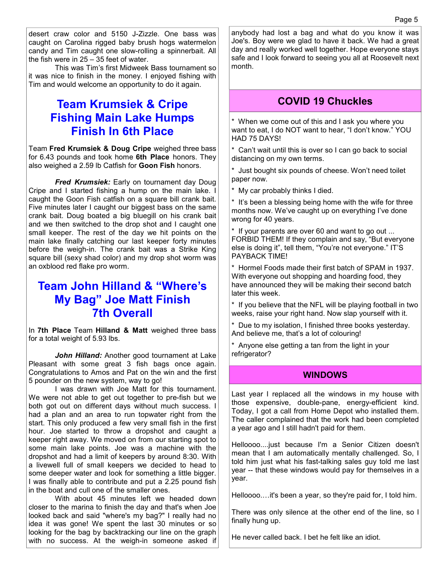desert craw color and 5150 J-Zizzle. One bass was caught on Carolina rigged baby brush hogs watermelon candy and Tim caught one slow-rolling a spinnerbait. All the fish were in 25 – 35 feet of water.

 This was Tim's first Midweek Bass tournament so it was nice to finish in the money. I enjoyed fishing with Tim and would welcome an opportunity to do it again.

### **Team Krumsiek & Cripe Fishing Main Lake Humps Finish In 6th Place**

Team **Fred Krumsiek & Doug Cripe** weighed three bass for 6.43 pounds and took home **6th Place** honors. They also weighed a 2.59 lb Catfish for **Goon Fish** honors.

 *Fred Krumsiek:* Early on tournament day Doug Cripe and I started fishing a hump on the main lake. I caught the Goon Fish catfish on a square bill crank bait. Five minutes later I caught our biggest bass on the same crank bait. Doug boated a big bluegill on his crank bait and we then switched to the drop shot and I caught one small keeper. The rest of the day we hit points on the main lake finally catching our last keeper forty minutes before the weigh-in. The crank bait was a Strike King square bill (sexy shad color) and my drop shot worm was an oxblood red flake pro worm.

### **Team John Hilland & "Where's My Bag" Joe Matt Finish 7th Overall**

In **7th Place** Team **Hilland & Matt** weighed three bass for a total weight of 5.93 lbs.

*John Hilland:* Another good tournament at Lake Pleasant with some great 3 fish bags once again. Congratulations to Amos and Pat on the win and the first 5 pounder on the new system, way to go!

 I was drawn with Joe Matt for this tournament. We were not able to get out together to pre-fish but we both got out on different days without much success. I had a plan and an area to run topwater right from the start. This only produced a few very small fish in the first hour. Joe started to throw a dropshot and caught a keeper right away. We moved on from our starting spot to some main lake points. Joe was a machine with the dropshot and had a limit of keepers by around 8:30. With a livewell full of small keepers we decided to head to some deeper water and look for something a little bigger. I was finally able to contribute and put a 2.25 pound fish in the boat and cull one of the smaller ones.

 With about 45 minutes left we headed down closer to the marina to finish the day and that's when Joe looked back and said "where's my bag?" I really had no idea it was gone! We spent the last 30 minutes or so looking for the bag by backtracking our line on the graph with no success. At the weigh-in someone asked if anybody had lost a bag and what do you know it was Joe's. Boy were we glad to have it back. We had a great day and really worked well together. Hope everyone stays safe and I look forward to seeing you all at Roosevelt next month.

### **COVID 19 Chuckles**

\* When we come out of this and I ask you where you want to eat, I do NOT want to hear, "I don't know." YOU HAD 75 DAYS!

\* Can't wait until this is over so I can go back to social distancing on my own terms.

\* Just bought six pounds of cheese. Won't need toilet paper now.

\* My car probably thinks I died.

\* It's been a blessing being home with the wife for three months now. We've caught up on everything I've done wrong for 40 years.

\* If your parents are over 60 and want to go out ... FORBID THEM! If they complain and say, "But everyone else is doing it", tell them, "You're not everyone." IT'S PAYBACK TIME!

\* Hormel Foods made their first batch of SPAM in 1937. With everyone out shopping and hoarding food, they have announced they will be making their second batch later this week.

\* If you believe that the NFL will be playing football in two weeks, raise your right hand. Now slap yourself with it.

\* Due to my isolation, I finished three books yesterday. And believe me, that's a lot of colouring!

\* Anyone else getting a tan from the light in your refrigerator?

#### **WINDOWS**

Last year I replaced all the windows in my house with those expensive, double-pane, energy-efficient kind. Today, I got a call from Home Depot who installed them. The caller complained that the work had been completed a year ago and I still hadn't paid for them.

Helloooo....just because I'm a Senior Citizen doesn't mean that I am automatically mentally challenged. So, I told him just what his fast-talking sales guy told me last year -- that these windows would pay for themselves in a year.

Helloooo.…it's been a year, so they're paid for, I told him.

There was only silence at the other end of the line, so I finally hung up.

He never called back. I bet he felt like an idiot.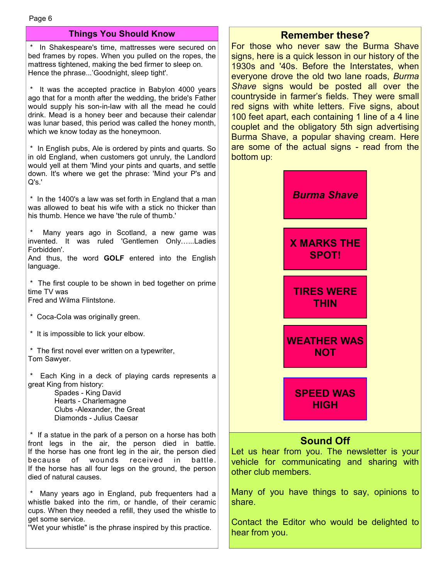#### **Things You Should Know**

 \* In Shakespeare's time, mattresses were secured on bed frames by ropes. When you pulled on the ropes, the mattress tightened, making the bed firmer to sleep on. Hence the phrase...'Goodnight, sleep tight'.

 \* It was the accepted practice in Babylon 4000 years ago that for a month after the wedding, the bride's Father would supply his son-in-law with all the mead he could drink. Mead is a honey beer and because their calendar was lunar based, this period was called the honey month, which we know today as the honeymoon.

 \* In English pubs, Ale is ordered by pints and quarts. So in old England, when customers got unruly, the Landlord would yell at them 'Mind your pints and quarts, and settle down. It's where we get the phrase: 'Mind your P's and Q's.'

 \* In the 1400's a law was set forth in England that a man was allowed to beat his wife with a stick no thicker than his thumb. Hence we have 'the rule of thumb.'

Many years ago in Scotland, a new game was invented. It was ruled 'Gentlemen Only…...Ladies Forbidden'.

And thus, the word **GOLF** entered into the English language.

 \* The first couple to be shown in bed together on prime time TV was Fred and Wilma Flintstone.

- \* Coca-Cola was originally green.
- \* It is impossible to lick your elbow.

 \* The first novel ever written on a typewriter, Tom Sawyer.

Each King in a deck of playing cards represents a great King from history:

 Spades - King David Hearts - Charlemagne Clubs -Alexander, the Great Diamonds - Julius Caesar

 \* If a statue in the park of a person on a horse has both front legs in the air, the person died in battle. If the horse has one front leg in the air, the person died because of wounds received in battle. If the horse has all four legs on the ground, the person died of natural causes.

Many years ago in England, pub frequenters had a whistle baked into the rim, or handle, of their ceramic cups. When they needed a refill, they used the whistle to get some service.

''Wet your whistle" is the phrase inspired by this practice.

#### **Remember these?**

For those who never saw the Burma Shave signs, here is a quick lesson in our history of the 1930s and '40s. Before the Interstates, when everyone drove the old two lane roads, *Burma Shave* signs would be posted all over the countryside in farmer's fields. They were small red signs with white letters. Five signs, about 100 feet apart, each containing 1 line of a 4 line couplet and the obligatory 5th sign advertising Burma Shave, a popular shaving cream. Here are some of the actual signs - read from the bottom up:



Let us hear from you. The newsletter is your vehicle for communicating and sharing with other club members.

Many of you have things to say, opinions to share.

Contact the Editor who would be delighted to hear from you.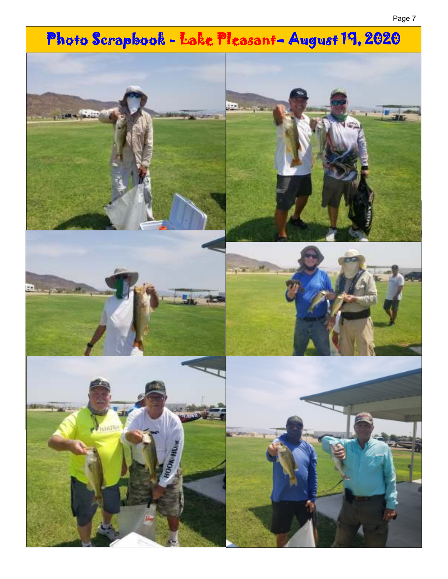# Photo Scrapbook - Lake Pleasant- August 19, 2020